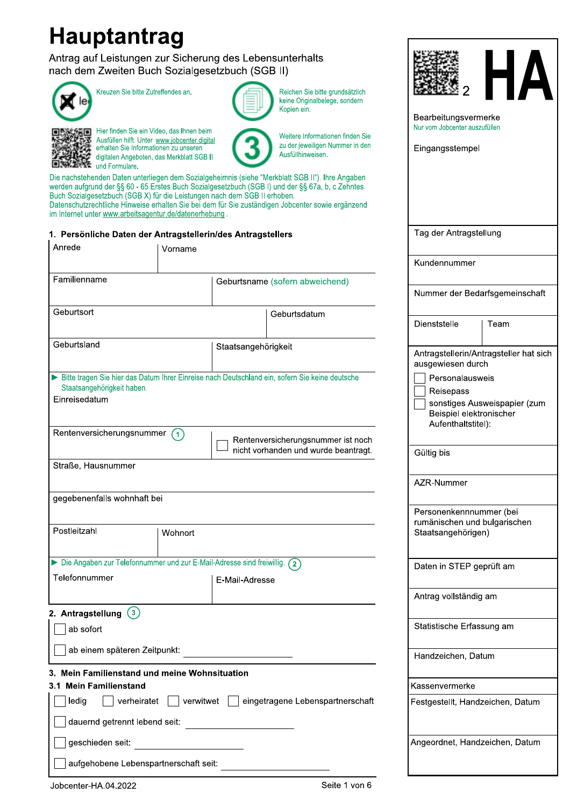# **Hauptantrag**

Antrag auf Leistungen zur Sicherung des Lebensunterhalts nach dem Zweiten Buch Sozialgesetzbuch (SGB II)



Kreuzen Sie bitte Zutreffendes an.



Hier finden Sie ein Video, das Ihnen beim Ausfüllen hilft. Unter www.jobcenter.digital erhalten Sie Informationen zu unseren digitalen Angeboten, das Merkblatt SGB II 



Reichen Sie bitte grundsätzlich keine Originalbelege, sondern Kopien ein.

 $\overline{2}$ 

Bearbeitungsvermerke Nur vom Jobcenter auszufüllen

Tag der Antragstellung

Eingangsstempel

Weitere Informationen finden Sie zu der jeweiligen Nummer in den Ausfüllhinweisen.

Die nachstehenden Daten unterliegen dem Sozialgeheimnis (siehe "Merkblatt SGB II"). Ihre Angaben werden aufgrund der §§ 60 - 65 Erstes Buch Sozialgesetzbuch (SGB I) und der §§ 67a, b, c Zehntes Buch Sozialgesetzbuch (SGB X) für die Leistungen nach dem SGB II erhoben. Datenschutzrechtliche Hinweise erhalten Sie bei dem für Sie zuständigen Jobcenter sowie ergänzend im Internet unter www.arbeitsagentur.de/datenerhebung.

## 1. Persönliche Daten der Antragstellerin/des Antragstellers

| Anrede                                                                    |             | Vorname   |                     |                                                                                                |                                                                               |                                        |
|---------------------------------------------------------------------------|-------------|-----------|---------------------|------------------------------------------------------------------------------------------------|-------------------------------------------------------------------------------|----------------------------------------|
|                                                                           |             |           |                     |                                                                                                | Kundennummer                                                                  |                                        |
| Familienname                                                              |             |           |                     | Geburtsname (sofern abweichend)                                                                |                                                                               |                                        |
|                                                                           |             |           |                     |                                                                                                |                                                                               | Nummer der Bedarfsgemeinschaft         |
| Geburtsort                                                                |             |           |                     | Geburtsdatum                                                                                   | Dienststelle                                                                  | Team                                   |
| Geburtsland                                                               |             |           | Staatsangehörigkeit |                                                                                                | ausgewiesen durch                                                             | Antragstellerin/Antragsteller hat sich |
| Staatsangehörigkeit haben.<br>Einreisedatum<br>Rentenversicherungsnummer  |             | (1)       |                     | Bitte tragen Sie hier das Datum Ihrer Einreise nach Deutschland ein, sofern Sie keine deutsche | Personalausweis<br>Reisepass<br>Beispiel elektronischer<br>Aufenthaltstitel): | sonstiges Ausweispapier (zum           |
|                                                                           |             |           |                     | Rentenversicherungsnummer ist noch<br>nicht vorhanden und wurde beantragt.                     | Gültig bis                                                                    |                                        |
| Straße, Hausnummer                                                        |             |           |                     |                                                                                                | AZR-Nummer                                                                    |                                        |
| gegebenenfalls wohnhaft bei                                               |             |           |                     |                                                                                                |                                                                               |                                        |
| Postleitzahl                                                              |             | Wohnort   |                     |                                                                                                | Personenkennnummer (bei<br>rumänischen und bulgarischen<br>Staatsangehörigen) |                                        |
| Die Angaben zur Telefonnummer und zur E-Mail-Adresse sind freiwillig. (2) |             |           |                     |                                                                                                | Daten in STEP geprüft am                                                      |                                        |
| Telefonnummer                                                             |             |           | E-Mail-Adresse      |                                                                                                |                                                                               |                                        |
|                                                                           |             |           |                     |                                                                                                | Antrag vollständig am                                                         |                                        |
| 2. Antragstellung $(3)$<br>ab sofort                                      |             |           |                     |                                                                                                | Statistische Erfassung am                                                     |                                        |
| ab einem späteren Zeitpunkt:                                              |             |           |                     |                                                                                                | Handzeichen, Datum                                                            |                                        |
| Mein Familienstand und meine Wohnsituation                                |             |           |                     |                                                                                                |                                                                               |                                        |
| 3.1 Mein Familienstand                                                    |             |           |                     |                                                                                                | Kassenvermerke                                                                |                                        |
| ledig<br>dauernd getrennt lebend seit:                                    | verheiratet | verwitwet |                     | eingetragene Lebenspartnerschaft                                                               |                                                                               | Festgestellt, Handzeichen, Datum       |
| geschieden seit:<br>aufgehobene Lebenspartnerschaft seit:                 |             |           |                     |                                                                                                |                                                                               | Angeordnet, Handzeichen, Datum         |
|                                                                           |             |           |                     |                                                                                                |                                                                               |                                        |
| lobcenter-HA 04 2022                                                      |             |           |                     | Seite 1 von 6                                                                                  |                                                                               |                                        |

Jobcenter-HA.04.2022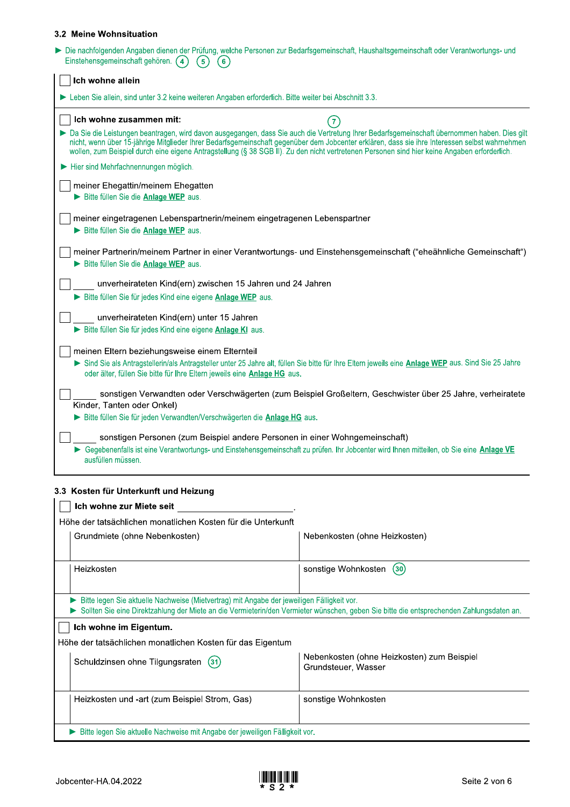| Einstehensgemeinschaft gehören. (4)<br>(5)<br>(6)                                                                          |                                                                                                                                                                                                                                                                                                                                                                                                                                                 |
|----------------------------------------------------------------------------------------------------------------------------|-------------------------------------------------------------------------------------------------------------------------------------------------------------------------------------------------------------------------------------------------------------------------------------------------------------------------------------------------------------------------------------------------------------------------------------------------|
|                                                                                                                            |                                                                                                                                                                                                                                                                                                                                                                                                                                                 |
| Ich wohne allein                                                                                                           |                                                                                                                                                                                                                                                                                                                                                                                                                                                 |
| > Leben Sie allein, sind unter 3.2 keine weiteren Angaben erforderlich. Bitte weiter bei Abschnitt 3.3.                    |                                                                                                                                                                                                                                                                                                                                                                                                                                                 |
| Ich wohne zusammen mit:                                                                                                    | $\left(7\right)$                                                                                                                                                                                                                                                                                                                                                                                                                                |
|                                                                                                                            | > Da Sie die Leistungen beantragen, wird davon ausgegangen, dass Sie auch die Vertretung Ihrer Bedarfsgemeinschaft übernommen haben. Dies gilt<br>nicht, wenn über 15-jährige Mitglieder Ihrer Bedarfsgemeinschaft gegenüber dem Jobcenter erklären, dass sie ihre Interessen selbst wahrnehmen<br>wollen, zum Beispiel durch eine eigene Antragstellung (§ 38 SGB II). Zu den nicht vertretenen Personen sind hier keine Angaben erforderlich. |
| Hier sind Mehrfachnennungen möglich.                                                                                       |                                                                                                                                                                                                                                                                                                                                                                                                                                                 |
| meiner Ehegattin/meinem Ehegatten<br>Bitte füllen Sie die Anlage WEP aus.                                                  |                                                                                                                                                                                                                                                                                                                                                                                                                                                 |
| meiner eingetragenen Lebenspartnerin/meinem eingetragenen Lebenspartner<br>Bitte füllen Sie die Anlage WEP aus.            |                                                                                                                                                                                                                                                                                                                                                                                                                                                 |
| Bitte füllen Sie die Anlage WEP aus.                                                                                       | meiner Partnerin/meinem Partner in einer Verantwortungs- und Einstehensgemeinschaft ("eheähnliche Gemeinschaft")                                                                                                                                                                                                                                                                                                                                |
| unverheirateten Kind(ern) zwischen 15 Jahren und 24 Jahren                                                                 |                                                                                                                                                                                                                                                                                                                                                                                                                                                 |
| Bitte füllen Sie für jedes Kind eine eigene Anlage WEP aus.                                                                |                                                                                                                                                                                                                                                                                                                                                                                                                                                 |
| unverheirateten Kind(ern) unter 15 Jahren<br>Bitte füllen Sie für jedes Kind eine eigene Anlage KI aus.                    |                                                                                                                                                                                                                                                                                                                                                                                                                                                 |
| meinen Eltern beziehungsweise einem Elternteil<br>oder älter, füllen Sie bitte für Ihre Eltern jeweils eine Anlage HG aus. | Sind Sie als Antragstellerin/als Antragsteller unter 25 Jahre alt, füllen Sie bitte für Ihre Eltern jeweils eine Anlage WEP aus. Sind Sie 25 Jahre                                                                                                                                                                                                                                                                                              |
| Kinder, Tanten oder Onkel)<br>Bitte füllen Sie für jeden Verwandten/Verschwägerten die Anlage HG aus.                      | sonstigen Verwandten oder Verschwägerten (zum Beispiel Großeltern, Geschwister über 25 Jahre, verheiratete                                                                                                                                                                                                                                                                                                                                      |
| ausfüllen müssen.                                                                                                          | sonstigen Personen (zum Beispiel andere Personen in einer Wohngemeinschaft)<br>Gegebenenfalls ist eine Verantwortungs- und Einstehensgemeinschaft zu prüfen. Ihr Jobcenter wird Ihnen mitteilen, ob Sie eine Anlage VE                                                                                                                                                                                                                          |

# 3.3 Kosten für Unterkunft und Heizung

| Ich wohne zur Miete seit                                                                   |                                                                                                                                          |
|--------------------------------------------------------------------------------------------|------------------------------------------------------------------------------------------------------------------------------------------|
| Höhe der tatsächlichen monatlichen Kosten für die Unterkunft                               |                                                                                                                                          |
| Grundmiete (ohne Nebenkosten)                                                              | Nebenkosten (ohne Heizkosten)                                                                                                            |
| Heizkosten                                                                                 | sonstige Wohnkosten<br>(30)                                                                                                              |
| Bitte legen Sie aktuelle Nachweise (Mietvertrag) mit Angabe der jeweiligen Fälligkeit vor. | Sollten Sie eine Direktzahlung der Miete an die Vermieterin/den Vermieter wünschen, geben Sie bitte die entsprechenden Zahlungsdaten an. |
| Ich wohne im Eigentum.                                                                     |                                                                                                                                          |
| Höhe der tatsächlichen monatlichen Kosten für das Eigentum                                 |                                                                                                                                          |
| Schuldzinsen ohne Tilgungsraten (31)                                                       | Nebenkosten (ohne Heizkosten) zum Beispiel<br>Grundsteuer, Wasser                                                                        |
| Heizkosten und -art (zum Beispiel Strom, Gas)                                              | sonstige Wohnkosten                                                                                                                      |
| Bitte legen Sie aktuelle Nachweise mit Angabe der jeweiligen Fälligkeit vor.               |                                                                                                                                          |

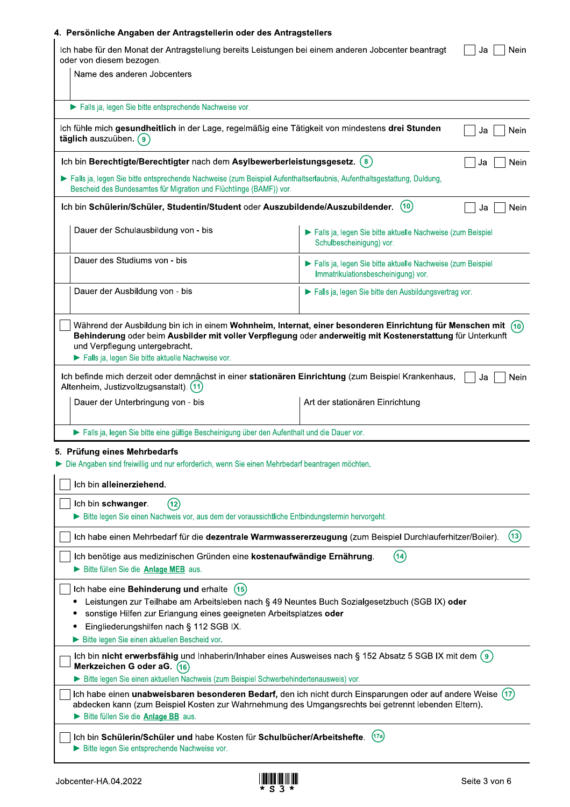| oder von diesem bezogen.                                                                                                                                                                                                                                                                                         |                                                                                                                           |
|------------------------------------------------------------------------------------------------------------------------------------------------------------------------------------------------------------------------------------------------------------------------------------------------------------------|---------------------------------------------------------------------------------------------------------------------------|
| Name des anderen Jobcenters                                                                                                                                                                                                                                                                                      |                                                                                                                           |
| Falls ja, legen Sie bitte entsprechende Nachweise vor.                                                                                                                                                                                                                                                           |                                                                                                                           |
| Ich fühle mich gesundheitlich in der Lage, regelmäßig eine Tätigkeit von mindestens drei Stunden<br>täglich auszuüben. (9)                                                                                                                                                                                       | Nein<br>Ja                                                                                                                |
| Ich bin Berechtigte/Berechtigter nach dem Asylbewerberleistungsgesetz. (8)                                                                                                                                                                                                                                       | Nein<br>Ja                                                                                                                |
| Falls ja, legen Sie bitte entsprechende Nachweise (zum Beispiel Aufenthaltserlaubnis, Aufenthaltsgestattung, Duldung,<br>Bescheid des Bundesamtes für Migration und Flüchtlinge (BAMF)) vor.                                                                                                                     |                                                                                                                           |
| Ich bin Schülerin/Schüler, Studentin/Student oder Auszubildende/Auszubildender.                                                                                                                                                                                                                                  | (10)<br>Nein<br>Ja                                                                                                        |
| Dauer der Schulausbildung von - bis                                                                                                                                                                                                                                                                              | Falls ja, legen Sie bitte aktuelle Nachweise (zum Beispiel<br>Schulbescheinigung) vor.                                    |
| Dauer des Studiums von - bis                                                                                                                                                                                                                                                                                     | Falls ja, legen Sie bitte aktuelle Nachweise (zum Beispiel<br>Immatrikulationsbescheinigung) vor.                         |
| Dauer der Ausbildung von - bis                                                                                                                                                                                                                                                                                   | Falls ja, legen Sie bitte den Ausbildungsvertrag vor.                                                                     |
| und Verpflegung untergebracht.<br>Falls ja, legen Sie bitte aktuelle Nachweise vor.                                                                                                                                                                                                                              | Behinderung oder beim Ausbilder mit voller Verpflegung oder anderweitig mit Kostenerstattung für Unterkunft               |
| Ich befinde mich derzeit oder demnächst in einer stationären Einrichtung (zum Beispiel Krankenhaus,                                                                                                                                                                                                              | Nein<br>Ja                                                                                                                |
| Dauer der Unterbringung von - bis                                                                                                                                                                                                                                                                                | Art der stationären Einrichtung                                                                                           |
| > Falls ja, legen Sie bitte eine gültige Bescheinigung über den Aufenthalt und die Dauer vor.                                                                                                                                                                                                                    |                                                                                                                           |
|                                                                                                                                                                                                                                                                                                                  |                                                                                                                           |
| Ich bin alleinerziehend.<br>Ich bin schwanger.<br>(12)                                                                                                                                                                                                                                                           |                                                                                                                           |
| Bitte legen Sie einen Nachweis vor, aus dem der voraussichtliche Entbindungstermin hervorgeht.                                                                                                                                                                                                                   |                                                                                                                           |
| Altenheim, Justizvollzugsanstalt). (11)<br>5. Prüfung eines Mehrbedarfs<br>Die Angaben sind freiwillig und nur erforderlich, wenn Sie einen Mehrbedarf beantragen möchten.<br>Ich benötige aus medizinischen Gründen eine kostenaufwändige Ernährung.<br>Bitte füllen Sie die Anlage MEB aus.                    | (13)<br>Ich habe einen Mehrbedarf für die dezentrale Warmwassererzeugung (zum Beispiel Durchlauferhitzer/Boiler).<br>(14) |
| Ich habe eine Behinderung und erhalte<br>(15)<br>Leistungen zur Teilhabe am Arbeitsleben nach § 49 Neuntes Buch Sozialgesetzbuch (SGB IX) oder<br>sonstige Hilfen zur Erlangung eines geeigneten Arbeitsplatzes oder<br>Eingliederungshilfen nach § 112 SGB IX.<br>Bitte legen Sie einen aktuellen Bescheid vor. |                                                                                                                           |
| Merkzeichen G oder aG. (16)<br>Bitte legen Sie einen aktuellen Nachweis (zum Beispiel Schwerbehindertenausweis) vor.                                                                                                                                                                                             | Ich bin nicht erwerbsfähig und Inhaberin/Inhaber eines Ausweises nach § 152 Absatz 5 SGB IX mit dem (9)                   |

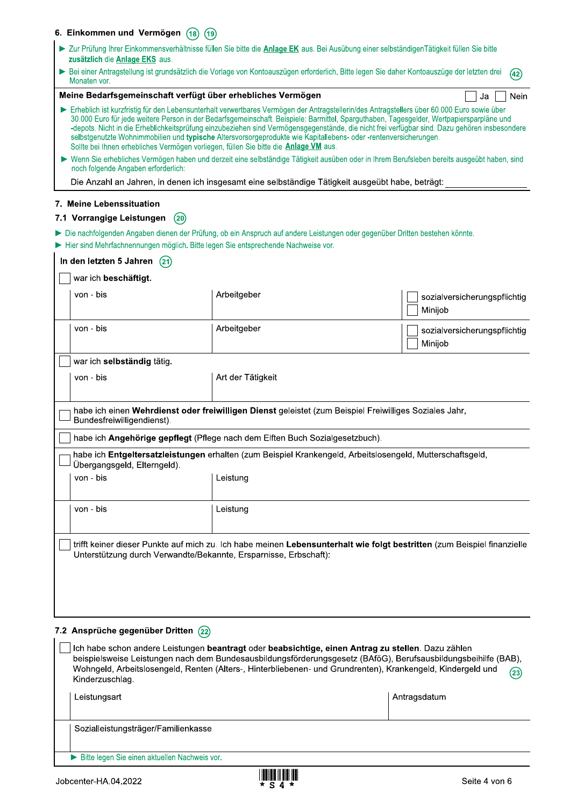| 6. Einkommen und Vermögen (18)       | (19)                                                                                                                                                                                                     |                                                                                                                                                                                                                                                                                                                                                                                                                                         |
|--------------------------------------|----------------------------------------------------------------------------------------------------------------------------------------------------------------------------------------------------------|-----------------------------------------------------------------------------------------------------------------------------------------------------------------------------------------------------------------------------------------------------------------------------------------------------------------------------------------------------------------------------------------------------------------------------------------|
| zusätzlich die Anlage EKS aus.       |                                                                                                                                                                                                          | > Zur Prüfung Ihrer Einkommensverhältnisse füllen Sie bitte die Anlage EK aus. Bei Ausübung einer selbständigenTätigkeit füllen Sie bitte                                                                                                                                                                                                                                                                                               |
| Monaten vor.                         |                                                                                                                                                                                                          | Bei einer Antragstellung ist grundsätzlich die Vorlage von Kontoauszügen erforderlich. Bitte legen Sie daher Kontoauszüge der letzten drei<br>(42)                                                                                                                                                                                                                                                                                      |
|                                      | Meine Bedarfsgemeinschaft verfügt über erhebliches Vermögen                                                                                                                                              | Nein<br>Ja                                                                                                                                                                                                                                                                                                                                                                                                                              |
|                                      | selbstgenutzte Wohnimmobilien und typische Altersvorsorgeprodukte wie Kapitallebens- oder -rentenversicherungen.<br>Sollte bei Ihnen erhebliches Vermögen vorliegen, füllen Sie bitte die Anlage VM aus. | Erheblich ist kurzfristig für den Lebensunterhalt verwertbares Vermögen der Antragstellerin/des Antragstellers über 60.000 Euro sowie über<br>30.000 Euro für jede weitere Person in der Bedarfsgemeinschaft. Beispiele: Barmittel, Sparguthaben, Tagesgelder, Wertpapiersparpläne und<br>-depots. Nicht in die Erheblichkeitsprüfung einzubeziehen sind Vermögensgegenstände, die nicht frei verfügbar sind. Dazu gehören insbesondere |
| noch folgende Angaben erforderlich:  |                                                                                                                                                                                                          | ► Wenn Sie erhebliches Vermögen haben und derzeit eine selbständige Tätigkeit ausüben oder in Ihrem Berufsleben bereits ausgeübt haben, sind                                                                                                                                                                                                                                                                                            |
|                                      | Die Anzahl an Jahren, in denen ich insgesamt eine selbständige Tätigkeit ausgeübt habe, beträgt:                                                                                                         |                                                                                                                                                                                                                                                                                                                                                                                                                                         |
| 7. Meine Lebenssituation             |                                                                                                                                                                                                          |                                                                                                                                                                                                                                                                                                                                                                                                                                         |
| 7.1 Vorrangige Leistungen<br>(20)    |                                                                                                                                                                                                          |                                                                                                                                                                                                                                                                                                                                                                                                                                         |
|                                      | Hier sind Mehrfachnennungen möglich. Bitte legen Sie entsprechende Nachweise vor.                                                                                                                        | Die nachfolgenden Angaben dienen der Prüfung, ob ein Anspruch auf andere Leistungen oder gegenüber Dritten bestehen könnte.                                                                                                                                                                                                                                                                                                             |
| In den letzten 5 Jahren<br>(21)      |                                                                                                                                                                                                          |                                                                                                                                                                                                                                                                                                                                                                                                                                         |
| war ich beschäftigt.                 |                                                                                                                                                                                                          |                                                                                                                                                                                                                                                                                                                                                                                                                                         |
| von - bis                            | Arbeitgeber                                                                                                                                                                                              | sozialversicherungspflichtig<br>Minijob                                                                                                                                                                                                                                                                                                                                                                                                 |
| von - bis                            | Arbeitgeber                                                                                                                                                                                              | sozialversicherungspflichtig<br>Minijob                                                                                                                                                                                                                                                                                                                                                                                                 |
| war ich selbständig tätig.           |                                                                                                                                                                                                          |                                                                                                                                                                                                                                                                                                                                                                                                                                         |
| von - bis                            | Art der Tätigkeit                                                                                                                                                                                        |                                                                                                                                                                                                                                                                                                                                                                                                                                         |
| Bundesfreiwilligendienst).           |                                                                                                                                                                                                          | habe ich einen Wehrdienst oder freiwilligen Dienst geleistet (zum Beispiel Freiwilliges Soziales Jahr,                                                                                                                                                                                                                                                                                                                                  |
|                                      | habe ich Angehörige gepflegt (Pflege nach dem Elften Buch Sozialgesetzbuch).                                                                                                                             |                                                                                                                                                                                                                                                                                                                                                                                                                                         |
| Übergangsgeld, Elterngeld).          |                                                                                                                                                                                                          | habe ich Entgeltersatzleistungen erhalten (zum Beispiel Krankengeld, Arbeitslosengeld, Mutterschaftsgeld,                                                                                                                                                                                                                                                                                                                               |
| von - bis                            | Leistung                                                                                                                                                                                                 |                                                                                                                                                                                                                                                                                                                                                                                                                                         |
| von - bis                            | Leistung                                                                                                                                                                                                 |                                                                                                                                                                                                                                                                                                                                                                                                                                         |
|                                      | Unterstützung durch Verwandte/Bekannte, Ersparnisse, Erbschaft):                                                                                                                                         | trifft keiner dieser Punkte auf mich zu. Ich habe meinen Lebensunterhalt wie folgt bestritten (zum Beispiel finanzielle                                                                                                                                                                                                                                                                                                                 |
| 7.2 Ansprüche gegenüber Dritten (22) |                                                                                                                                                                                                          |                                                                                                                                                                                                                                                                                                                                                                                                                                         |
| Kinderzuschlag.                      |                                                                                                                                                                                                          | Ich habe schon andere Leistungen beantragt oder beabsichtige, einen Antrag zu stellen. Dazu zählen<br>beispielsweise Leistungen nach dem Bundesausbildungsförderungsgesetz (BAföG), Berufsausbildungsbeihilfe (BAB),<br>Wohngeld, Arbeitslosengeld, Renten (Alters-, Hinterbliebenen- und Grundrenten), Krankengeld, Kindergeld und<br>(23)                                                                                             |
| Leistungsart                         |                                                                                                                                                                                                          | Antragsdatum                                                                                                                                                                                                                                                                                                                                                                                                                            |

Sozialleistungsträger/Familienkasse

Bitte legen Sie einen aktuellen Nachweis vor.

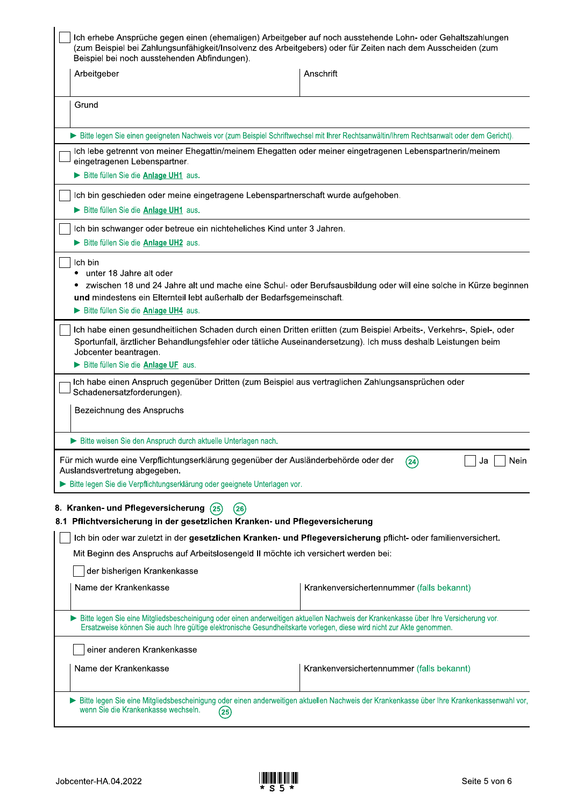| Ich erhebe Ansprüche gegen einen (ehemaligen) Arbeitgeber auf noch ausstehende Lohn- oder Gehaltszahlungen<br>(zum Beispiel bei Zahlungsunfähigkeit/Insolvenz des Arbeitgebers) oder für Zeiten nach dem Ausscheiden (zum<br>Beispiel bei noch ausstehenden Abfindungen). |                                                                                                                                                                                                                                          |
|---------------------------------------------------------------------------------------------------------------------------------------------------------------------------------------------------------------------------------------------------------------------------|------------------------------------------------------------------------------------------------------------------------------------------------------------------------------------------------------------------------------------------|
| Arbeitgeber                                                                                                                                                                                                                                                               | Anschrift                                                                                                                                                                                                                                |
| Grund                                                                                                                                                                                                                                                                     |                                                                                                                                                                                                                                          |
|                                                                                                                                                                                                                                                                           | > Bitte legen Sie einen geeigneten Nachweis vor (zum Beispiel Schriftwechsel mit Ihrer Rechtsanwältin/Ihrem Rechtsanwalt oder dem Gericht).                                                                                              |
| eingetragenen Lebenspartner.<br>Bitte füllen Sie die Anlage UH1 aus.                                                                                                                                                                                                      | Ich lebe getrennt von meiner Ehegattin/meinem Ehegatten oder meiner eingetragenen Lebenspartnerin/meinem                                                                                                                                 |
| Ich bin geschieden oder meine eingetragene Lebenspartnerschaft wurde aufgehoben.                                                                                                                                                                                          |                                                                                                                                                                                                                                          |
| Bitte füllen Sie die Anlage UH1 aus.                                                                                                                                                                                                                                      |                                                                                                                                                                                                                                          |
| Ich bin schwanger oder betreue ein nichteheliches Kind unter 3 Jahren.<br>Bitte füllen Sie die Anlage UH2 aus.                                                                                                                                                            |                                                                                                                                                                                                                                          |
| und mindestens ein Elternteil lebt außerhalb der Bedarfsgemeinschaft.<br>Bitte füllen Sie die Anlage UH4 aus.                                                                                                                                                             | zwischen 18 und 24 Jahre alt und mache eine Schul- oder Berufsausbildung oder will eine solche in Kürze beginnen<br>Ich habe einen gesundheitlichen Schaden durch einen Dritten erlitten (zum Beispiel Arbeits-, Verkehrs-, Spiel-, oder |
| Jobcenter beantragen.<br>Bitte füllen Sie die Anlage UF aus.<br>ich habe einen Anspruch gegenüber Dritten (zum Beispiel aus vertraglichen Zahlungsansprüchen oder –<br>Schadenersatzforderungen).                                                                         | Sportunfall, ärztlicher Behandlungsfehler oder tätliche Auseinandersetzung). Ich muss deshalb Leistungen beim                                                                                                                            |
| Bezeichnung des Anspruchs                                                                                                                                                                                                                                                 |                                                                                                                                                                                                                                          |
| Bitte weisen Sie den Anspruch durch aktuelle Unterlagen nach.                                                                                                                                                                                                             |                                                                                                                                                                                                                                          |
| Für mich wurde eine Verpflichtungserklärung gegenüber der Ausländerbehörde oder der<br>Auslandsvertretung abgegeben.                                                                                                                                                      | (24)<br>Nein<br>Ja                                                                                                                                                                                                                       |
| Bitte legen Sie die Verpflichtungserklärung oder geeignete Unterlagen vor.<br>8. Kranken- und Pflegeversicherung (25)<br>(26)                                                                                                                                             |                                                                                                                                                                                                                                          |
| 8.1 Pflichtversicherung in der gesetzlichen Kranken- und Pflegeversicherung                                                                                                                                                                                               |                                                                                                                                                                                                                                          |
| Mit Beginn des Anspruchs auf Arbeitslosengeld II möchte ich versichert werden bei:                                                                                                                                                                                        | Ich bin oder war zuletzt in der gesetzlichen Kranken- und Pflegeversicherung pflicht- oder familienversichert.                                                                                                                           |
| der bisherigen Krankenkasse                                                                                                                                                                                                                                               |                                                                                                                                                                                                                                          |
| Name der Krankenkasse                                                                                                                                                                                                                                                     | Krankenversichertennummer (falls bekannt)                                                                                                                                                                                                |
| > Bitte legen Sie eine Mitgliedsbescheinigung oder einen anderweitigen aktuellen Nachweis der Krankenkasse über Ihre Versicherung vor.<br>Ersatzweise können Sie auch Ihre gültige elektronische Gesundheitskarte vorlegen, diese wird nicht zur Akte genommen.           |                                                                                                                                                                                                                                          |
| einer anderen Krankenkasse                                                                                                                                                                                                                                                |                                                                                                                                                                                                                                          |